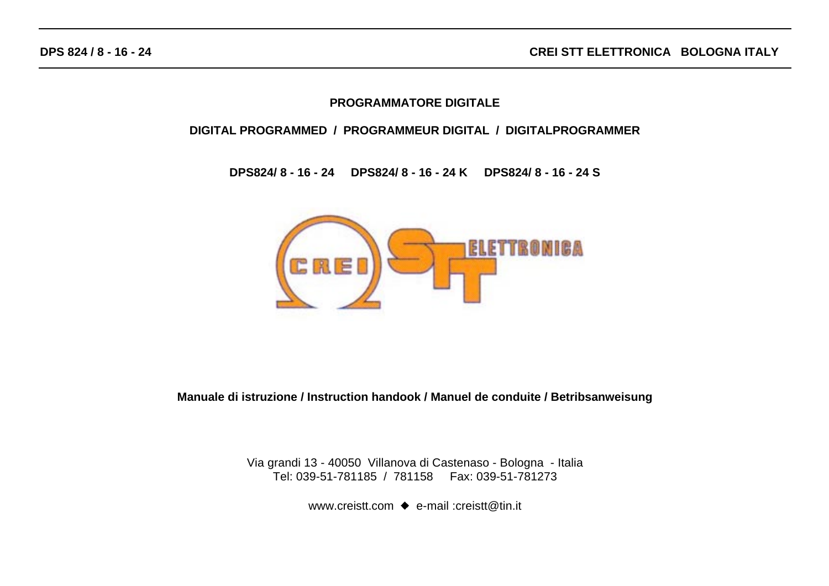#### **PROGRAMMATORE DIGITALE**

#### **DIGITAL PROGRAMMED / PROGRAMMEUR DIGITAL / DIGITALPROGRAMMER**

**DPS824/ 8 - 16 - 24 DPS824/ 8 - 16 - 24 K DPS824/ 8 - 16 - 24 S**



**Manuale di istruzione / Instruction handook / Manuel de conduite / Betribsanweisung**

Via grandi 13 - 40050 Villanova di Castenaso - Bologna - Italia Tel: 039-51-781185 / 781158 Fax: 039-51-781273

www.creistt.com  $\bullet$  e-mail :creistt@tin.it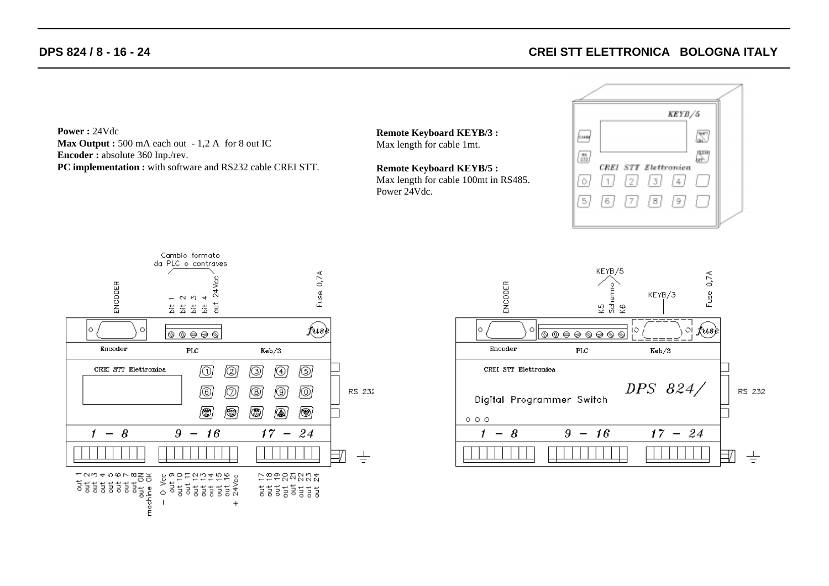# **CREI STT ELETTRONICA BOLOGNA ITALY**

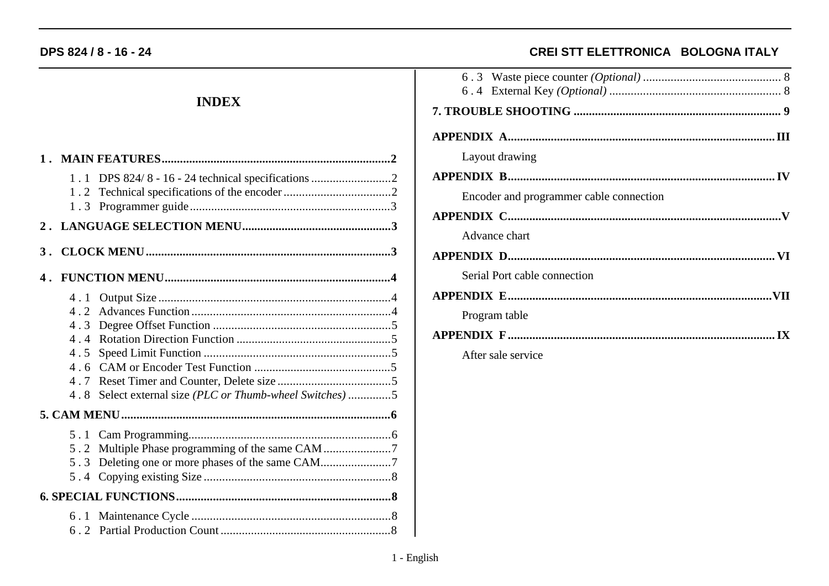# **INDEX**

|                          | 1.1 DPS 824/8 - 16 - 24 technical specifications 2  |  |
|--------------------------|-----------------------------------------------------|--|
|                          |                                                     |  |
|                          |                                                     |  |
|                          |                                                     |  |
| 4.3<br>4.4<br>4.7<br>4.8 | Select external size (PLC or Thumb-wheel Switches)5 |  |
|                          |                                                     |  |
|                          | 5.2 Multiple Phase programming of the same CAM 7    |  |
|                          |                                                     |  |
|                          |                                                     |  |

# CREI STT ELETTRONICA BOLOGNA ITALY

| Layout drawing                          |  |
|-----------------------------------------|--|
|                                         |  |
| Encoder and programmer cable connection |  |
|                                         |  |
| Advance chart                           |  |
|                                         |  |
| Serial Port cable connection            |  |
|                                         |  |
| Program table                           |  |
|                                         |  |
| After sale service                      |  |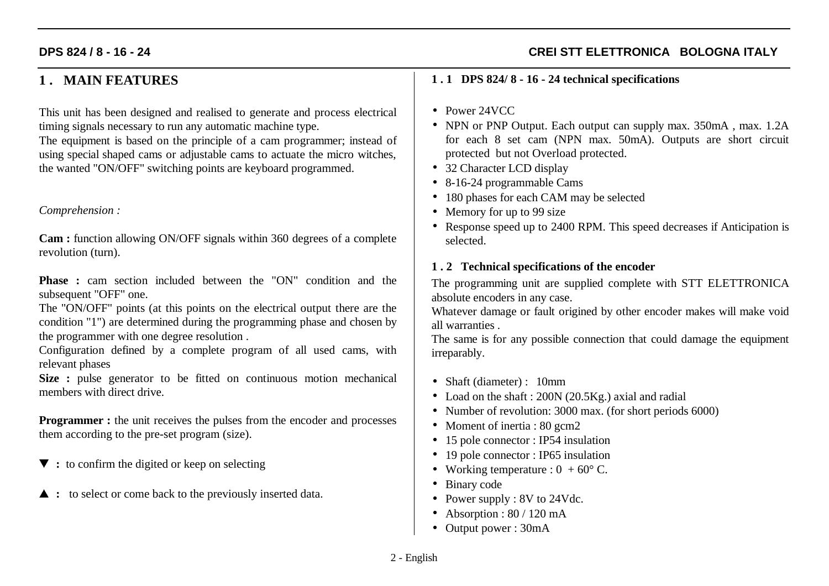# **CREI STT ELETTRONICA BOLOGNA ITALY**

# **1 . MAIN FEATURES**

This unit has been designed and realised to generate and process electrical timing signals necessary to run any automatic machine type.

The equipment is based on the principle of a cam programmer; instead of using special shaped cams or adjustable cams to actuate the micro witches, the wanted "ON/OFF" switching points are keyboard programmed.

#### *Comprehension :*

**Cam :** function allowing ON/OFF signals within 360 degrees of a complete revolution (turn).

**Phase :** cam section included between the "ON" condition and the subsequent "OFF" one.

The "ON/OFF" points (at this points on the electrical output there are the condition "1") are determined during the programming phase and chosen by the programmer with one degree resolution .

Configuration defined by a complete program of all used cams, with relevant phases

**Size :** pulse generator to be fitted on continuous motion mechanical members with direct drive.

**Programmer :** the unit receives the pulses from the encoder and processes them according to the pre-set program (size).

- $\blacktriangledown$ : to confirm the digited or keep on selecting
- $\triangle$  : to select or come back to the previously inserted data.

#### **1 . 1 DPS 824/ 8 - 16 - 24 technical specifications**

- Power 24VCC
- NPN or PNP Output. Each output can supply max. 350mA, max. 1.2A for each 8 set cam (NPN max. 50mA). Outputs are short circuit protected but not Overload protected.
- 32 Character LCD display
- 8-16-24 programmable Cams
- 180 phases for each CAM may be selected
- Memory for up to 99 size
- Response speed up to 2400 RPM. This speed decreases if Anticipation is selected.

#### **1 . 2 Technical specifications of the encoder**

The programming unit are supplied complete with STT ELETTRONICA absolute encoders in any case.

Whatever damage or fault origined by other encoder makes will make void all warranties .

The same is for any possible connection that could damage the equipment irreparably.

- Shaft (diameter) : 10mm
- Load on the shaft : 200N (20.5Kg.) axial and radial
- Number of revolution: 3000 max. (for short periods 6000)
- Moment of inertia : 80 gcm2
- 15 pole connector : IP54 insulation
- 19 pole connector : IP65 insulation
- Working temperature :  $0 + 60^{\circ}$  C.
- Binary code
- Power supply : 8V to 24Vdc.
- Absorption :  $80 / 120$  mA
- Output power : 30mA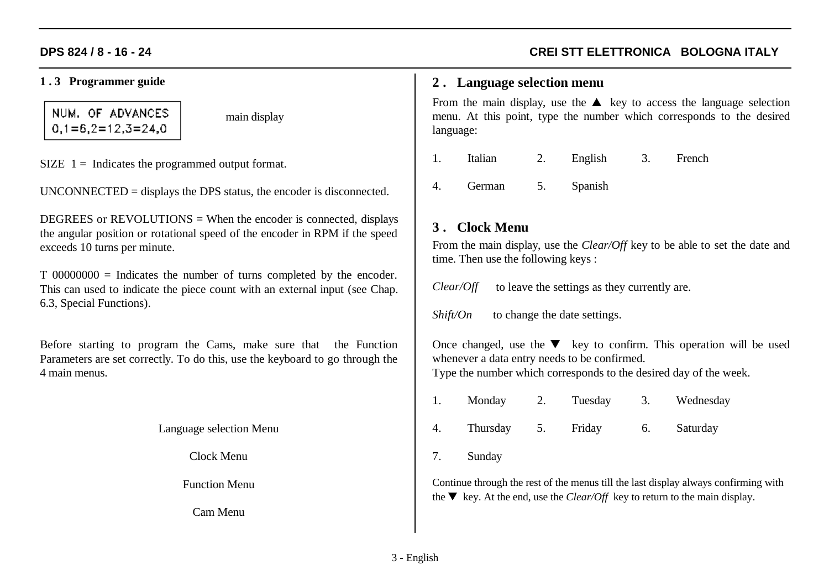#### **1 . 3 Programmer guide**

NUM. OF ADVANCES  $0,1=6,2=12,3=24,0$ 

main display

SIZE  $1 =$  Indicates the programmed output format.

UNCONNECTED = displays the DPS status, the encoder is disconnected.

DEGREES or  $REVOLUTIONS = When the encoder is connected, displays$ the angular position or rotational speed of the encoder in RPM if the speed exceeds 10 turns per minute.

T 00000000 = Indicates the number of turns completed by the encoder. This can used to indicate the piece count with an external input (see Chap. 6.3, Special Functions).

Before starting to program the Cams, make sure that the Function Parameters are set correctly. To do this, use the keyboard to go through the 4 main menus.

Language selection Menu

Clock Menu

Function Menu

Cam Menu

# **CREI STT ELETTRONICA BOLOGNA ITALY**

#### **2 . Language selection menu**

From the main display, use the  $\triangle$  key to access the language selection menu. At this point, type the number which corresponds to the desired language:

- 1. Italian 2. English 3. French
- 4. German 5. Spanish

# **3 . Clock Menu**

From the main display, use the *Clear/Off* key to be able to set the date and time. Then use the following keys :

*Clear/Off* to leave the settings as they currently are.

*Shift/On* to change the date settings.

Once changed, use the  $\blacktriangledown$  key to confirm. This operation will be used whenever a data entry needs to be confirmed.

Type the number which corresponds to the desired day of the week.

1. Monday 2. Tuesday 3. Wednesday 4. Thursday 5. Friday 6. Saturday

7. Sunday

Continue through the rest of the menus till the last display always confirming with the  $\nabla$  key. At the end, use the *Clear/Off* key to return to the main display.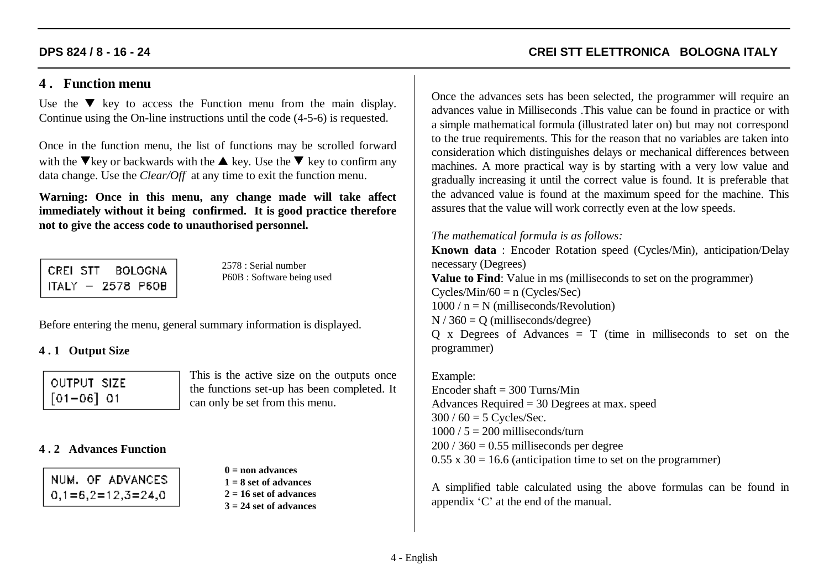# **4 . Function menu**

Use the  $\blacktriangledown$  key to access the Function menu from the main display. Continue using the On-line instructions until the code (4-5-6) is requested.

Once in the function menu, the list of functions may be scrolled forward with the  $\nabla$  key or backwards with the  $\blacktriangle$  key. Use the  $\nabla$  key to confirm any data change. Use the *Clear/Off* at any time to exit the function menu.

**Warning: Once in this menu, any change made will take affect immediately without it being confirmed. It is good practice therefore not to give the access code to unauthorised personnel.**

CREI STT **BOLOGNA** ITALY - 2578 P60B

2578 : Serial numberP60B : Software being used

Before entering the menu, general summary information is displayed.

#### **4 . 1 Output Size**

| OUTPUT SIZE    |  |
|----------------|--|
| $[01 - 06]$ 01 |  |

This is the active size on the outputs once the functions set-up has been completed. It can only be set from this menu.

#### **4 . 2 Advances Function**

**0 = non advances1 = 8 set of advances2 = 16 set of advances3 = 24 set of advances** **CREI STT ELETTRONICA BOLOGNA ITALY**

Once the advances sets has been selected, the programmer will require an advances value in Milliseconds .This value can be found in practice or with a simple mathematical formula (illustrated later on) but may not correspond to the true requirements. This for the reason that no variables are taken into consideration which distinguishes delays or mechanical differences between machines. A more practical way is by starting with a very low value and gradually increasing it until the correct value is found. It is preferable that the advanced value is found at the maximum speed for the machine. This assures that the value will work correctly even at the low speeds.

#### *The mathematical formula is as follows:*

**Known data** : Encoder Rotation speed (Cycles/Min), anticipation/Delay necessary (Degrees) **Value to Find**: Value in ms (milliseconds to set on the programmer)  $Cycles/Min/60 = n (Cycles/Sec)$  $1000 / n = N$  (milliseconds/Revolution)  $N / 360 = O$  (milliseconds/degree)  $Q \times D$  Degrees of Advances = T (time in milliseconds to set on the programmer)

Example: Encoder shaft  $=$  300 Turns/Min Advances Required = 30 Degrees at max. speed  $300 / 60 = 5$  Cycles/Sec.  $1000 / 5 = 200$  milliseconds/turn  $200 / 360 = 0.55$  milliseconds per degree  $0.55 \times 30 = 16.6$  (anticipation time to set on the programmer)

A simplified table calculated using the above formulas can be found in appendix 'C' at the end of the manual.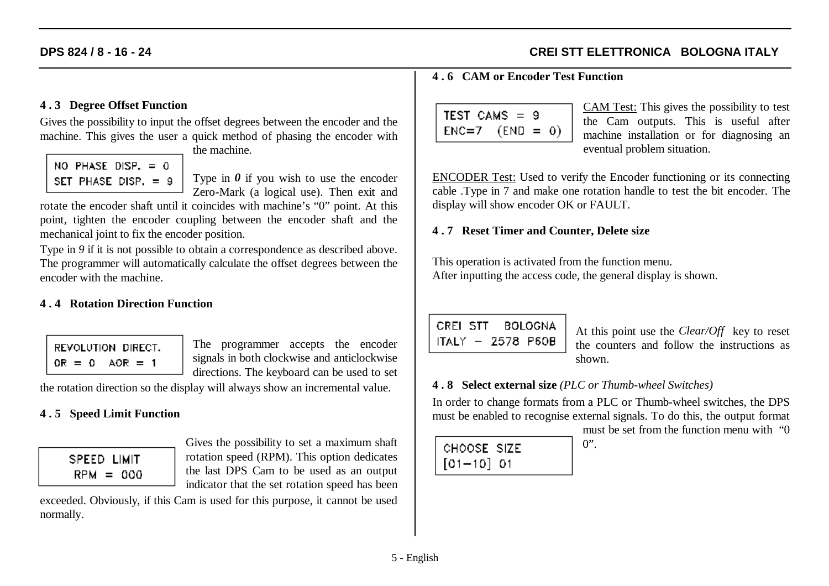# **CREI STT ELETTRONICA BOLOGNA ITALY**

#### **4 . 3 Degree Offset Function**

Gives the possibility to input the offset degrees between the encoder and the machine. This gives the user a quick method of phasing the encoder with

NO PHASE DISP.  $= 0$ SET PHASE DISP. = 9 the machine.

Type in *0* if you wish to use the encoder Zero-Mark (a logical use). Then exit and

rotate the encoder shaft until it coincides with machine's "0" point. At this point, tighten the encoder coupling between the encoder shaft and the mechanical joint to fix the encoder position.

Type in 9 if it is not possible to obtain a correspondence as described above. The programmer will automatically calculate the offset degrees between the encoder with the machine.

#### **4 . 4 Rotation Direction Function**

REVOLUTION DIRECT.  $OR = 0$   $AOR = 1$ 

The programmer accepts the encoder signals in both clockwise and anticlockwise directions. The keyboard can be used to set

the rotation direction so the display will always show an incremental value.

#### **4 . 5 Speed Limit Function**

| SPEED LIMIT |      |
|-------------|------|
| $RPM =$     | .000 |

Gives the possibility to set a maximum shaft rotation speed (RPM). This option dedicates the last DPS Cam to be used as an output indicator that the set rotation speed has been

exceeded. Obviously, if this Cam is used for this purpose, it cannot be used normally.

#### **4 . 6 CAM or Encoder Test Function**

| $TEST$ CAMS $=$ 9   |  |  |
|---------------------|--|--|
| $ENC=7$ $(END = 0)$ |  |  |
|                     |  |  |

CAM Test: This gives the possibility to test the Cam outputs. This is useful after machine installation or for diagnosing an eventual problem situation.

ENCODER Test: Used to verify the Encoder functioning or its connecting cable .Type in 7 and make one rotation handle to test the bit encoder. The display will show encoder OK or FAULT.

#### **4 . 7 Reset Timer and Counter, Delete size**

This operation is activated from the function menu. After inputting the access code, the general display is shown.

CREL STT BOLOGNA ITALY - 2578 P60B

At this point use the *Clear/Off* key to reset the counters and follow the instructions asshown.

#### **4 . 8 Select external size** *(PLC or Thumb-wheel Switches)*

 $0$ ".

In order to change formats from a PLC or Thumb-wheel switches, the DPS must be enabled to recognise external signals. To do this, the output format

| CHOOSE SIZE    |  |
|----------------|--|
| $[01 - 10]$ 01 |  |

must be set from the function menu with "0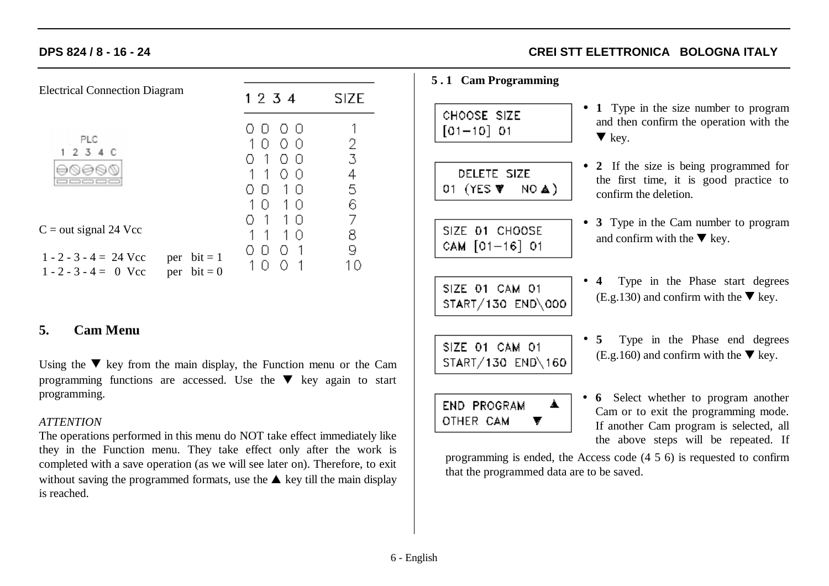| <b>Electrical Connection Diagram</b>                |                                      | 1 2 3 4                                                                                                      | <b>SIZE</b>           |
|-----------------------------------------------------|--------------------------------------|--------------------------------------------------------------------------------------------------------------|-----------------------|
| PLC<br>1234C                                        |                                      | O U<br>$\perp$<br>0<br>O<br>- 0<br>1<br>O<br>$\Box$<br>$\mathbf{1}$<br>0<br>0<br>Ħ<br>$\perp$<br>Ð<br>$\Box$ | 2<br>3<br>4<br>5<br>6 |
| $C = out signal 24$ Vcc                             |                                      | 1<br>1<br>n                                                                                                  | 7<br>8                |
| $1 - 2 - 3 - 4 = 24$ Vcc<br>$1 - 2 - 3 - 4 = 0$ Vcc | $bit = 1$<br>per<br>$bit = 0$<br>per | 0                                                                                                            | 9                     |

#### **5. Cam Menu**

Using the  $\nabla$  key from the main display, the Function menu or the Cam programming functions are accessed. Use the  $\blacktriangledown$  key again to start programming.

#### *ATTENTION*

The operations performed in this menu do NOT take effect immediately like they in the Function menu. They take effect only after the work is completed with a save operation (as we will see later on). Therefore, to exit without saving the programmed formats, use the  $\triangle$  key till the main display is reached.

# **CREI STT ELETTRONICA BOLOGNA ITALY**

#### **5 . 1 Cam Programming**

CHOOSE SIZE  $[01 - 10] 01$ 

DELETE SIZE 01 (YES  $\Psi$  $NO<sub>A</sub>$ 

- SIZE 01 CHOOSE CAM [01-16] 01
- SIZE 01 CAM 01 START/130 END\000
- **1** Type in the size number to program and then confirm the operation with the  $\blacktriangledown$  key.
- **2** If the size is being programmed for the first time, it is good practice to confirm the deletion.
- **3** Type in the Cam number to program and confirm with the  $\nabla$  key.
- **4** Type in the Phase start degrees  $(E.g.130)$  and confirm with the  $\nabla$  key.
- SIZE 01 CAM 01 START/130 END\160
- **5** Type in the Phase end degrees  $(E.g.160)$  and confirm with the  $\nabla$  key.



• **6** Select whether to program another Cam or to exit the programming mode. If another Cam program is selected, all the above steps will be repeated. If

programming is ended, the Access code (4 5 6) is requested to confirm that the programmed data are to be saved.

6 - English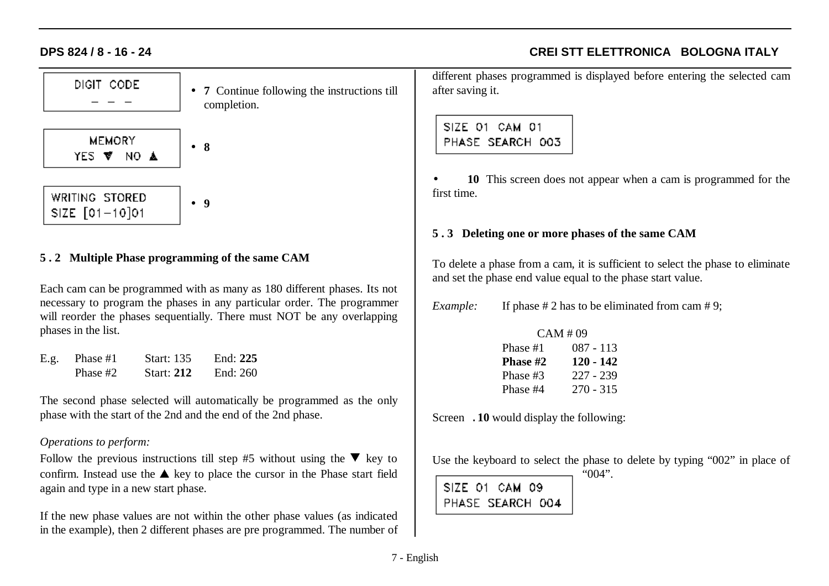# • **7** Continue following the instructions till completion.

**MEMORY** • **8**YES V NO A

WRITING STORED • **9**SIZE  $[01 - 10]01$ 

#### **5 . 2 Multiple Phase programming of the same CAM**

Each cam can be programmed with as many as 180 different phases. Its not necessary to program the phases in any particular order. The programmer will reorder the phases sequentially. There must NOT be any overlapping phases in the list.

| E.g. | Phase #1 | <b>Start:</b> 135 | End: $225$ |
|------|----------|-------------------|------------|
|      | Phase #2 | <b>Start: 212</b> | End: 260   |

The second phase selected will automatically be programmed as the only phase with the start of the 2nd and the end of the 2nd phase.

#### *Operations to perform:*

Follow the previous instructions till step #5 without using the  $\nabla$  key to confirm. Instead use the  $\triangle$  key to place the cursor in the Phase start field again and type in a new start phase.

If the new phase values are not within the other phase values (as indicated in the example), then 2 different phases are pre programmed. The number of different phases programmed is displayed before entering the selected cam after saving it.

**CREI STT ELETTRONICA BOLOGNA ITALY**

# SIZE 01 CAM 01 PHASE SEARCH 003

• **10** This screen does not appear when a cam is programmed for the first time.

#### **5 . 3 Deleting one or more phases of the same CAM**

To delete a phase from a cam, it is sufficient to select the phase to eliminate and set the phase end value equal to the phase start value.

*Example:* If phase # 2 has to be eliminated from cam # 9;

| CAM #09  |             |  |  |  |
|----------|-------------|--|--|--|
| Phase #1 | 087 - 113   |  |  |  |
| Phase #2 | 120 - 142   |  |  |  |
| Phase #3 | $227 - 239$ |  |  |  |
| Phase #4 | $270 - 315$ |  |  |  |

Screen .**10** would display the following:

Use the keyboard to select the phase to delete by typing "002" in place of

|                  | $"004"$ . |
|------------------|-----------|
| SIZE 01 CAM 09   |           |
| PHASE SEARCH 004 |           |

DIGIT CODE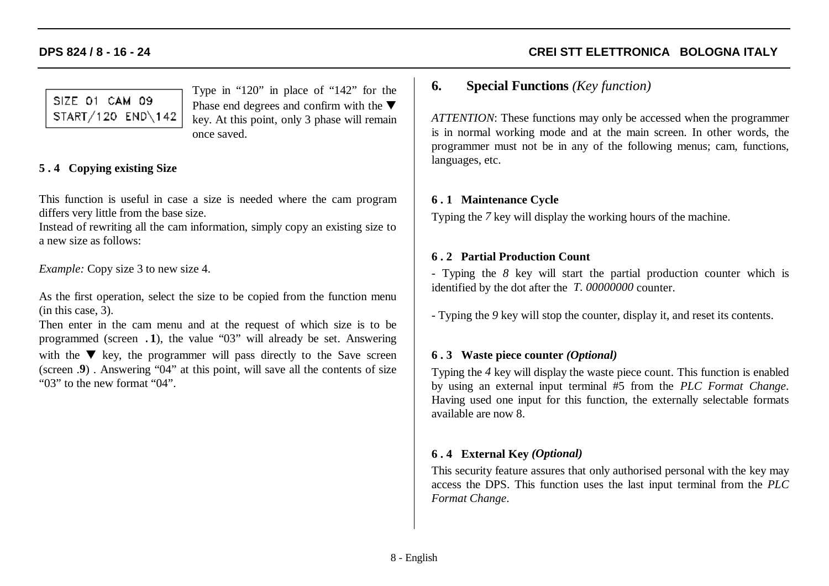# **CREI STT ELETTRONICA BOLOGNA ITALY**

# SIZE 01 CAM 09 START/120 END\142

Type in "120" in place of "142" for the Phase end degrees and confirm with the  $\blacktriangledown$ key. At this point, only 3 phase will remain once saved.

# **5 . 4 Copying existing Size**

This function is useful in case a size is needed where the cam program differs very little from the base size.

Instead of rewriting all the cam information, simply copy an existing size to a new size as follows:

*Example:* Copy size 3 to new size 4.

As the first operation, select the size to be copied from the function menu (in this case, 3).

Then enter in the cam menu and at the request of which size is to be programmed (screen .**1**), the value "03" will already be set. Answering with the  $\nabla$  key, the programmer will pass directly to the Save screen (screen .**9**) . Answering "04" at this point, will save all the contents of size "03" to the new format "04".

# **6. Special Functions** *(Key function)*

*ATTENTION*: These functions may only be accessed when the programmer is in normal working mode and at the main screen. In other words, the programmer must not be in any of the following menus; cam, functions, languages, etc.

#### **6 . 1 Maintenance Cycle**

Typing the *7* key will display the working hours of the machine.

#### **6 . 2 Partial Production Count**

- Typing the *8* key will start the partial production counter which is identified by the dot after the *T. 00000000* counter.

- Typing the *9* key will stop the counter, display it, and reset its contents.

#### **6 . 3 Waste piece counter** *(Optional)*

Typing the *4* key will display the waste piece count. This function is enabled by using an external input terminal #5 from the *PLC Format Change*. Having used one input for this function, the externally selectable formats available are now 8.

#### **6 . 4 External Key** *(Optional)*

This security feature assures that only authorised personal with the key may access the DPS. This function uses the last input terminal from the *PLC Format Change*.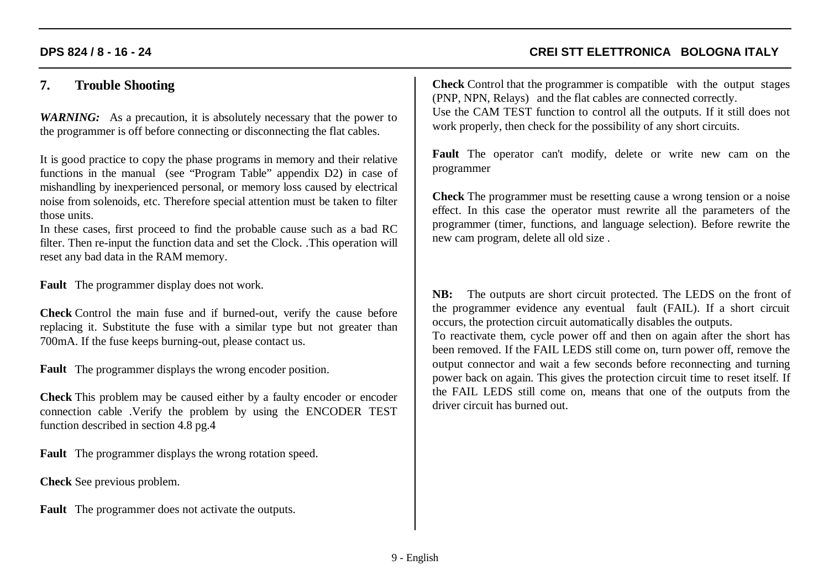# **CREI STT ELETTRONICA BOLOGNA ITALY**

# **7. Trouble Shooting**

*WARNING:* As a precaution, it is absolutely necessary that the power to the programmer is off before connecting or disconnecting the flat cables.

It is good practice to copy the phase programs in memory and their relative functions in the manual (see "Program Table" appendix D2) in case of mishandling by inexperienced personal, or memory loss caused by electrical noise from solenoids, etc. Therefore special attention must be taken to filter those units.

In these cases, first proceed to find the probable cause such as a bad RC filter. Then re-input the function data and set the Clock. .This operation will reset any bad data in the RAM memory.

**Fault** The programmer display does not work.

**Check** Control the main fuse and if burned-out, verify the cause before replacing it. Substitute the fuse with a similar type but not greater than 700mA. If the fuse keeps burning-out, please contact us.

**Fault** The programmer displays the wrong encoder position.

**Check** This problem may be caused either by a faulty encoder or encoder connection cable .Verify the problem by using the ENCODER TEST function described in section 4.8 pg.4

**Fault** The programmer displays the wrong rotation speed.

**Check** See previous problem.

**Fault** The programmer does not activate the outputs.

**Check** Control that the programmer is compatible with the output stages (PNP, NPN, Relays) and the flat cables are connected correctly. Use the CAM TEST function to control all the outputs. If it still does not work properly, then check for the possibility of any short circuits.

**Fault** The operator can't modify, delete or write new cam on the programmer

**Check** The programmer must be resetting cause a wrong tension or a noise effect. In this case the operator must rewrite all the parameters of the programmer (timer, functions, and language selection). Before rewrite the new cam program, delete all old size .

**NB:** The outputs are short circuit protected. The LEDS on the front of the programmer evidence any eventual fault (FAIL). If a short circuit occurs, the protection circuit automatically disables the outputs.

To reactivate them, cycle power off and then on again after the short has been removed. If the FAIL LEDS still come on, turn power off, remove the output connector and wait a few seconds before reconnecting and turning power back on again. This gives the protection circuit time to reset itself. If the FAIL LEDS still come on, means that one of the outputs from the driver circuit has burned out.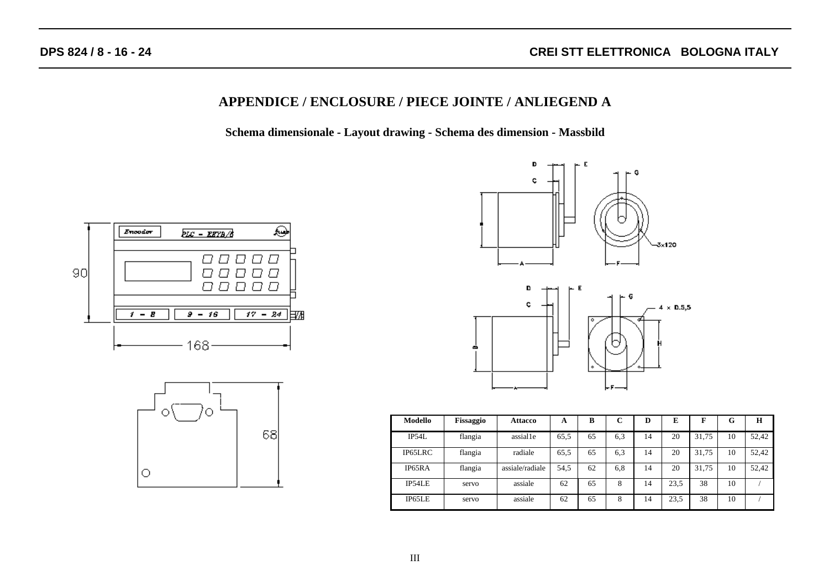#### **APPENDICE / ENCLOSURE / PIECE JOINTE / ANLIEGEND A**

**Schema dimensionale - Layout drawing - Schema des dimension - Massbild**









| Modello | Fissaggio | Attacco         | A    | B  | $\sqrt{ }$<br>ι. | D  | E    | F     | G  | H     |
|---------|-----------|-----------------|------|----|------------------|----|------|-------|----|-------|
| IP54L   | flangia   | assial1e        | 65.5 | 65 | 6,3              | 14 | 20   | 31.75 | 10 | 52,42 |
| IP65LRC | flangia   | radiale         | 65.5 | 65 | 6.3              | 14 | 20   | 31.75 | 10 | 52.42 |
| IP65RA  | flangia   | assiale/radiale | 54.5 | 62 | 6.8              | 14 | 20   | 31.75 | 10 | 52,42 |
| IP54LE  | servo     | assiale         | 62   | 65 | 8                | 14 | 23.5 | 38    | 10 |       |
| IP65LE  | servo     | assiale         | 62   | 65 | 8                | 14 | 23,5 | 38    | 10 |       |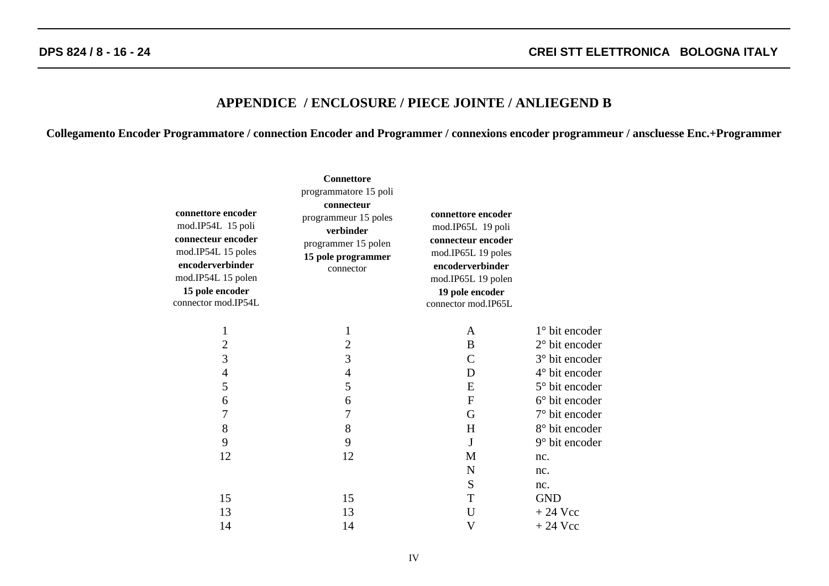#### **APPENDICE / ENCLOSURE / PIECE JOINTE / ANLIEGEND B**

**Collegamento Encoder Programmatore / connection Encoder and Programmer / connexions encoder programmeur / anscluesse Enc.+Programmer**

| connettore encoder<br>mod.IP54L 15 poli<br>connecteur encoder<br>mod.IP54L 15 poles<br>encoderverbinder<br>mod.IP54L 15 polen<br>15 pole encoder<br>connector mod.IP54L | <b>Connettore</b><br>programmatore 15 poli<br>connecteur<br>programmeur 15 poles<br>verbinder<br>programmer 15 polen<br>15 pole programmer<br>connector | connettore encoder<br>mod.IP65L 19 poli<br>connecteur encoder<br>mod.IP65L 19 poles<br>encoderverbinder<br>mod.IP65L 19 polen<br>19 pole encoder<br>connector mod.IP65L |                  |
|-------------------------------------------------------------------------------------------------------------------------------------------------------------------------|---------------------------------------------------------------------------------------------------------------------------------------------------------|-------------------------------------------------------------------------------------------------------------------------------------------------------------------------|------------------|
| $\mathbf{1}$                                                                                                                                                            | $\mathbf{1}$                                                                                                                                            | A                                                                                                                                                                       | 1° bit encoder   |
| $\overline{c}$                                                                                                                                                          | $\overline{\mathbf{c}}$                                                                                                                                 | B                                                                                                                                                                       | $2°$ bit encoder |
| 3                                                                                                                                                                       | $\overline{3}$                                                                                                                                          | $\mathsf{C}$                                                                                                                                                            | 3° bit encoder   |
| $\overline{4}$                                                                                                                                                          | $\overline{4}$                                                                                                                                          | D                                                                                                                                                                       | 4° bit encoder   |
| 5                                                                                                                                                                       | 5                                                                                                                                                       | E                                                                                                                                                                       | 5° bit encoder   |
| 6                                                                                                                                                                       | 6                                                                                                                                                       | $\boldsymbol{F}$                                                                                                                                                        | 6° bit encoder   |
| 7                                                                                                                                                                       | 7                                                                                                                                                       | G                                                                                                                                                                       | 7° bit encoder   |
| 8                                                                                                                                                                       | 8                                                                                                                                                       | H                                                                                                                                                                       | 8° bit encoder   |
| 9                                                                                                                                                                       | 9                                                                                                                                                       | J                                                                                                                                                                       | 9° bit encoder   |
| 12                                                                                                                                                                      | 12                                                                                                                                                      | M                                                                                                                                                                       | nc.              |
|                                                                                                                                                                         |                                                                                                                                                         | $\mathbf N$                                                                                                                                                             | nc.              |
|                                                                                                                                                                         |                                                                                                                                                         | ${\bf S}$                                                                                                                                                               | nc.              |
| 15                                                                                                                                                                      | 15                                                                                                                                                      | T                                                                                                                                                                       | <b>GND</b>       |
| 13                                                                                                                                                                      | 13                                                                                                                                                      | U                                                                                                                                                                       | $+24$ Vcc        |
| 14                                                                                                                                                                      | 14                                                                                                                                                      | V                                                                                                                                                                       | $+24$ Vcc        |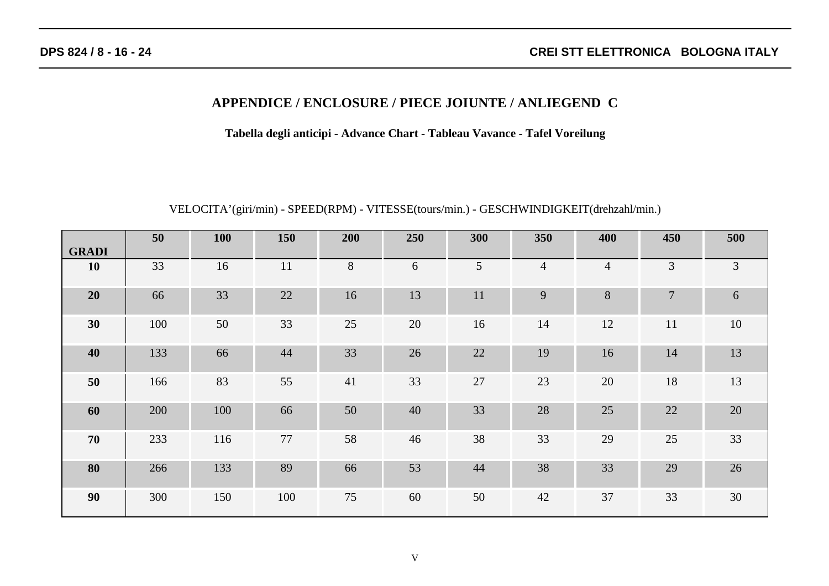## **APPENDICE / ENCLOSURE / PIECE JOIUNTE / ANLIEGEND C**

**Tabella degli anticipi - Advance Chart - Tableau Vavance - Tafel Voreilung**

# VELOCITA'(giri/min) - SPEED(RPM) - VITESSE(tours/min.) - GESCHWINDIGKEIT(drehzahl/min.)

|              | 50  | <b>100</b> | 150 | 200 | 250 | 300             | 350            | 400            | 450            | 500 |
|--------------|-----|------------|-----|-----|-----|-----------------|----------------|----------------|----------------|-----|
| <b>GRADI</b> |     |            |     |     |     |                 |                |                |                |     |
| <b>10</b>    | 33  | 16         | 11  | 8   | 6   | $5\overline{)}$ | $\overline{4}$ | $\overline{4}$ | 3              | 3   |
| 20           | 66  | 33         | 22  | 16  | 13  | 11              | 9              | 8              | $\overline{7}$ | 6   |
| 30           | 100 | 50         | 33  | 25  | 20  | 16              | 14             | 12             | 11             | 10  |
| 40           | 133 | 66         | 44  | 33  | 26  | 22              | 19             | 16             | 14             | 13  |
| 50           | 166 | 83         | 55  | 41  | 33  | 27              | 23             | $20\,$         | 18             | 13  |
| 60           | 200 | 100        | 66  | 50  | 40  | 33              | 28             | 25             | 22             | 20  |
| 70           | 233 | 116        | 77  | 58  | 46  | 38              | 33             | 29             | 25             | 33  |
| 80           | 266 | 133        | 89  | 66  | 53  | 44              | 38             | 33             | 29             | 26  |
| 90           | 300 | 150        | 100 | 75  | 60  | 50              | 42             | 37             | 33             | 30  |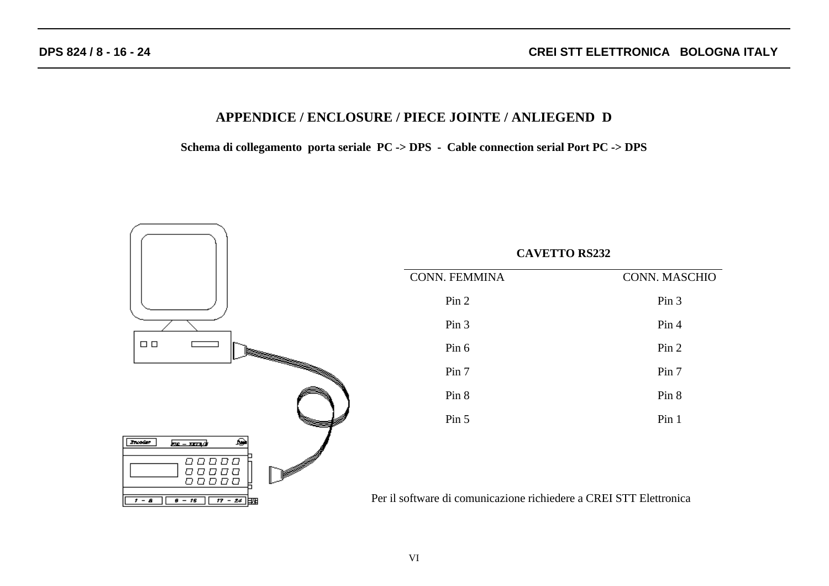## **APPENDICE / ENCLOSURE / PIECE JOINTE / ANLIEGEND D**

**Schema di collegamento porta seriale PC -> DPS - Cable connection serial Port PC -> DPS**

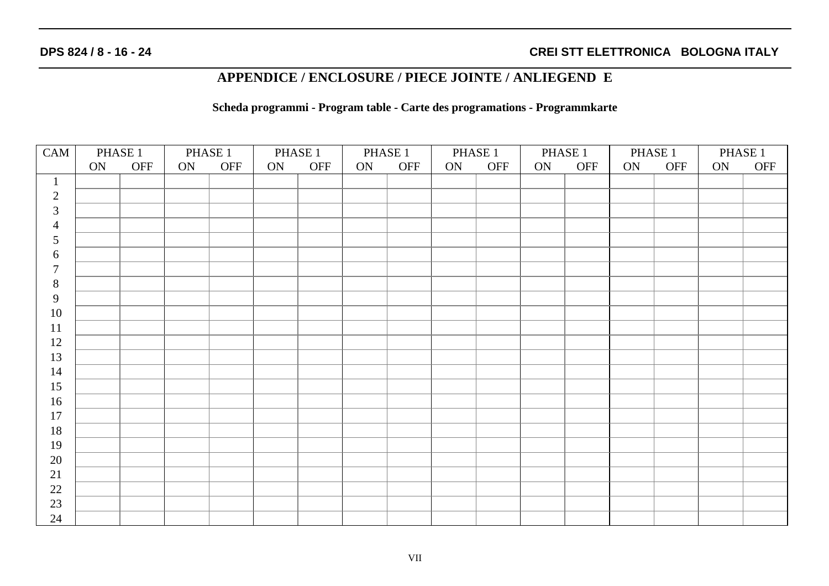## **APPENDICE / ENCLOSURE / PIECE JOINTE / ANLIEGEND E**

**Scheda programmi - Program table - Carte des programations - Programmkarte**

| CAM            | PHASE 1 |     | PHASE 1 |     | PHASE 1 |     | PHASE 1 |     | PHASE 1 |     | PHASE 1 |     | PHASE 1 |     | PHASE 1 |            |
|----------------|---------|-----|---------|-----|---------|-----|---------|-----|---------|-----|---------|-----|---------|-----|---------|------------|
|                | ON      | OFF | ON      | OFF | ON      | OFF | ON      | OFF | ON      | OFF | ON      | OFF | ON      | OFF | ON      | <b>OFF</b> |
| $\mathbf{1}$   |         |     |         |     |         |     |         |     |         |     |         |     |         |     |         |            |
| $\sqrt{2}$     |         |     |         |     |         |     |         |     |         |     |         |     |         |     |         |            |
| $\mathfrak{Z}$ |         |     |         |     |         |     |         |     |         |     |         |     |         |     |         |            |
| $\overline{4}$ |         |     |         |     |         |     |         |     |         |     |         |     |         |     |         |            |
| $\mathfrak{S}$ |         |     |         |     |         |     |         |     |         |     |         |     |         |     |         |            |
| 6              |         |     |         |     |         |     |         |     |         |     |         |     |         |     |         |            |
| $\overline{7}$ |         |     |         |     |         |     |         |     |         |     |         |     |         |     |         |            |
| $\,8\,$        |         |     |         |     |         |     |         |     |         |     |         |     |         |     |         |            |
| 9              |         |     |         |     |         |     |         |     |         |     |         |     |         |     |         |            |
| $10\,$         |         |     |         |     |         |     |         |     |         |     |         |     |         |     |         |            |
| 11             |         |     |         |     |         |     |         |     |         |     |         |     |         |     |         |            |
| 12             |         |     |         |     |         |     |         |     |         |     |         |     |         |     |         |            |
| 13             |         |     |         |     |         |     |         |     |         |     |         |     |         |     |         |            |
| 14             |         |     |         |     |         |     |         |     |         |     |         |     |         |     |         |            |
| 15             |         |     |         |     |         |     |         |     |         |     |         |     |         |     |         |            |
| 16             |         |     |         |     |         |     |         |     |         |     |         |     |         |     |         |            |
| 17             |         |     |         |     |         |     |         |     |         |     |         |     |         |     |         |            |
| 18             |         |     |         |     |         |     |         |     |         |     |         |     |         |     |         |            |
| 19             |         |     |         |     |         |     |         |     |         |     |         |     |         |     |         |            |
| $20\,$         |         |     |         |     |         |     |         |     |         |     |         |     |         |     |         |            |
| 21             |         |     |         |     |         |     |         |     |         |     |         |     |         |     |         |            |
| 22             |         |     |         |     |         |     |         |     |         |     |         |     |         |     |         |            |
| 23             |         |     |         |     |         |     |         |     |         |     |         |     |         |     |         |            |
| 24             |         |     |         |     |         |     |         |     |         |     |         |     |         |     |         |            |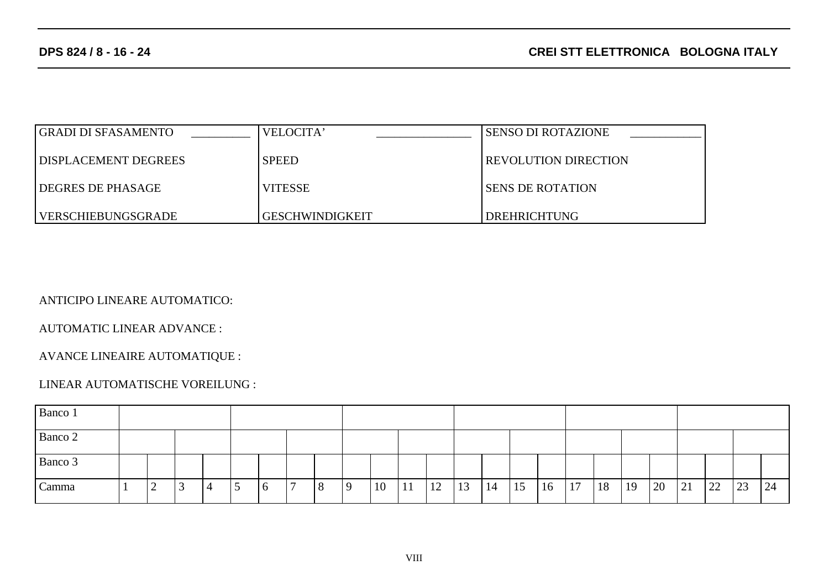| <b>GRADI DI SFASAMENTO</b>  | VELOCITA'              | <b>SENSO DI ROTAZIONE</b>   |
|-----------------------------|------------------------|-----------------------------|
| <b>DISPLACEMENT DEGREES</b> | <b>SPEED</b>           | <b>REVOLUTION DIRECTION</b> |
| DEGRES DE PHASAGE           | <b>VITESSE</b>         | <b>SENS DE ROTATION</b>     |
| VERSCHIEBUNGSGRADE          | <b>GESCHWINDIGKEIT</b> | DREHRICHTUNG                |

ANTICIPO LINEARE AUTOMATICO:

AUTOMATIC LINEAR ADVANCE :

AVANCE LINEAIRE AUTOMATIQUE :

#### LINEAR AUTOMATISCHE VOREILUNG :

| Banco 1 |  |        |          |                |  |             |  |   |   |    |              |    |    |    |    |    |    |    |    |    |    |    |    |    |
|---------|--|--------|----------|----------------|--|-------------|--|---|---|----|--------------|----|----|----|----|----|----|----|----|----|----|----|----|----|
| Banco 2 |  |        |          |                |  |             |  |   |   |    |              |    |    |    |    |    |    |    |    |    |    |    |    |    |
| Banco 3 |  |        |          |                |  |             |  |   |   |    |              |    |    |    |    |    |    |    |    |    |    |    |    |    |
| Camma   |  | ◠<br>┕ | <u>ب</u> | $\overline{4}$ |  | $\mathbf b$ |  | 8 | Q | 10 | $\mathbf{r}$ | 12 | 13 | 14 | 15 | 16 | 17 | 18 | 19 | 20 | 21 | 22 | 23 | 24 |